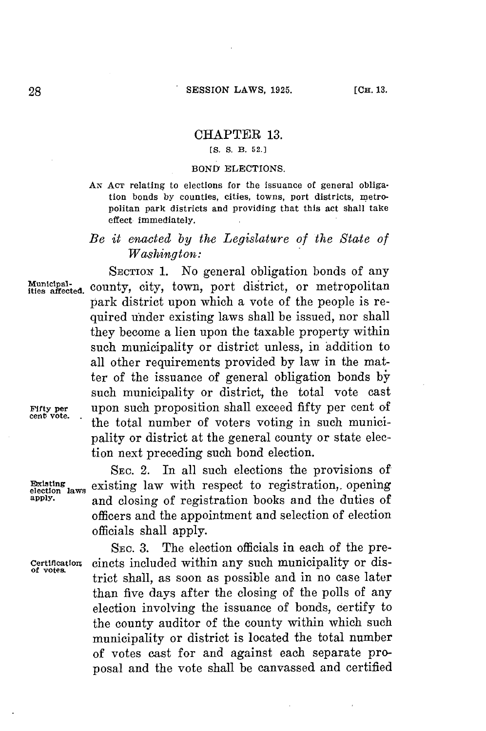# CHAPTER **13.**

### **[S.** *S.* **B. 52.]**

### **BOND ELECTIONS.**

**AN ACT relating to elections for the issuance of general obligation bonds by counties, cities, towns, port districts, metropolitan park districts and providing that this act shall take effect immediately.**

## *Be it enacted by the Legislature of the State of Washington:*

SECTION 1. No general obligation bonds of any Municipal-<br>ities affected, county, city, town, port district, or metropolitan park district upon which a vote of the people is required under existing laws shall be issued, nor shall they become a lien upon the taxable property within such municipality or district unless, in addition to all other requirements provided **by** law in the matter of the issuance of general obligation bonds **by** such municipality or district, the total vote cast FIrty **per** upon such proposition shall exceed fifty per cent of the total number of voters voting in such municipality or district at the general county or state election next preceding such bond election.

**SEC.** 2. In all such elections the provisions of **Existing** existing law with respect to registration, opening election laws and closure of requistration healts and the duties of and closing of registration books and the duties of officers and the appointment and selection of election officials shall apply.

SEc. **3.** The election officials in each of the pre-**Certification** cincts included within any such municipality or district shall, as soon as possible and in no case later than five days after the closing of the polls of any election involving the issuance of bonds, certify to the county auditor of the county within which such municipality or district is located the total number of votes cast for and against each separate proposal and the vote shall be canvassed and certified

**of votes.**